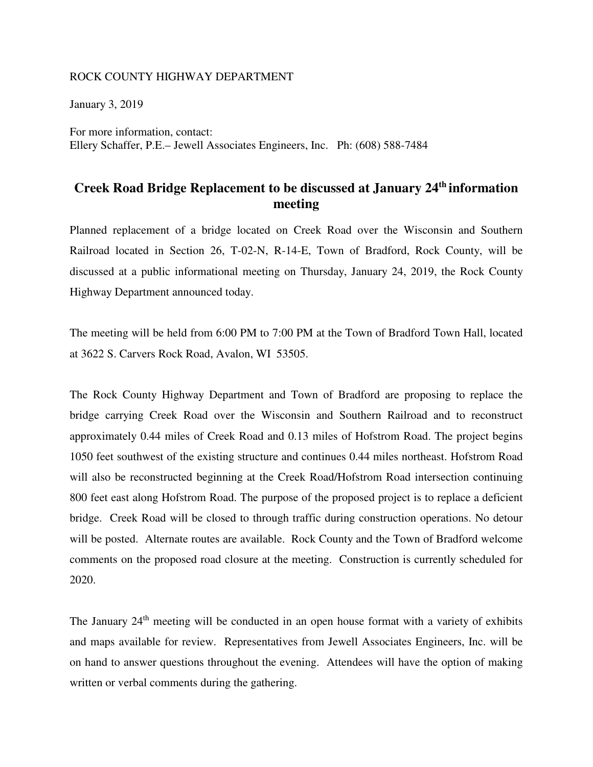## ROCK COUNTY HIGHWAY DEPARTMENT

January 3, 2019

For more information, contact: Ellery Schaffer, P.E.– Jewell Associates Engineers, Inc. Ph: (608) 588-7484

## **Creek Road Bridge Replacement to be discussed at January 24th information meeting**

Planned replacement of a bridge located on Creek Road over the Wisconsin and Southern Railroad located in Section 26, T-02-N, R-14-E, Town of Bradford, Rock County, will be discussed at a public informational meeting on Thursday, January 24, 2019, the Rock County Highway Department announced today.

The meeting will be held from 6:00 PM to 7:00 PM at the Town of Bradford Town Hall, located at 3622 S. Carvers Rock Road, Avalon, WI 53505.

The Rock County Highway Department and Town of Bradford are proposing to replace the bridge carrying Creek Road over the Wisconsin and Southern Railroad and to reconstruct approximately 0.44 miles of Creek Road and 0.13 miles of Hofstrom Road. The project begins 1050 feet southwest of the existing structure and continues 0.44 miles northeast. Hofstrom Road will also be reconstructed beginning at the Creek Road/Hofstrom Road intersection continuing 800 feet east along Hofstrom Road. The purpose of the proposed project is to replace a deficient bridge. Creek Road will be closed to through traffic during construction operations. No detour will be posted. Alternate routes are available. Rock County and the Town of Bradford welcome comments on the proposed road closure at the meeting. Construction is currently scheduled for 2020.

The January  $24<sup>th</sup>$  meeting will be conducted in an open house format with a variety of exhibits and maps available for review. Representatives from Jewell Associates Engineers, Inc. will be on hand to answer questions throughout the evening. Attendees will have the option of making written or verbal comments during the gathering.